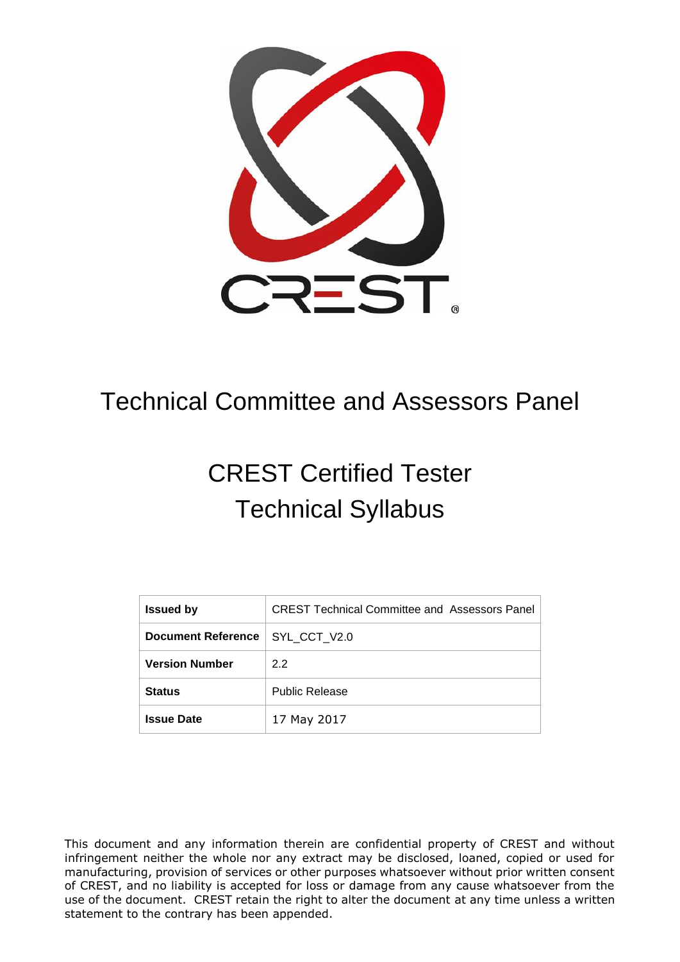

# Technical Committee and Assessors Panel

# CREST Certified Tester Technical Syllabus

| <b>Issued by</b>          | <b>CREST Technical Committee and Assessors Panel</b> |
|---------------------------|------------------------------------------------------|
| <b>Document Reference</b> | SYL CCT V2.0                                         |
| <b>Version Number</b>     | 2.2                                                  |
| <b>Status</b>             | <b>Public Release</b>                                |
| <b>Issue Date</b>         | 17 May 2017                                          |

This document and any information therein are confidential property of CREST and without infringement neither the whole nor any extract may be disclosed, loaned, copied or used for manufacturing, provision of services or other purposes whatsoever without prior written consent of CREST, and no liability is accepted for loss or damage from any cause whatsoever from the use of the document. CREST retain the right to alter the document at any time unless a written statement to the contrary has been appended.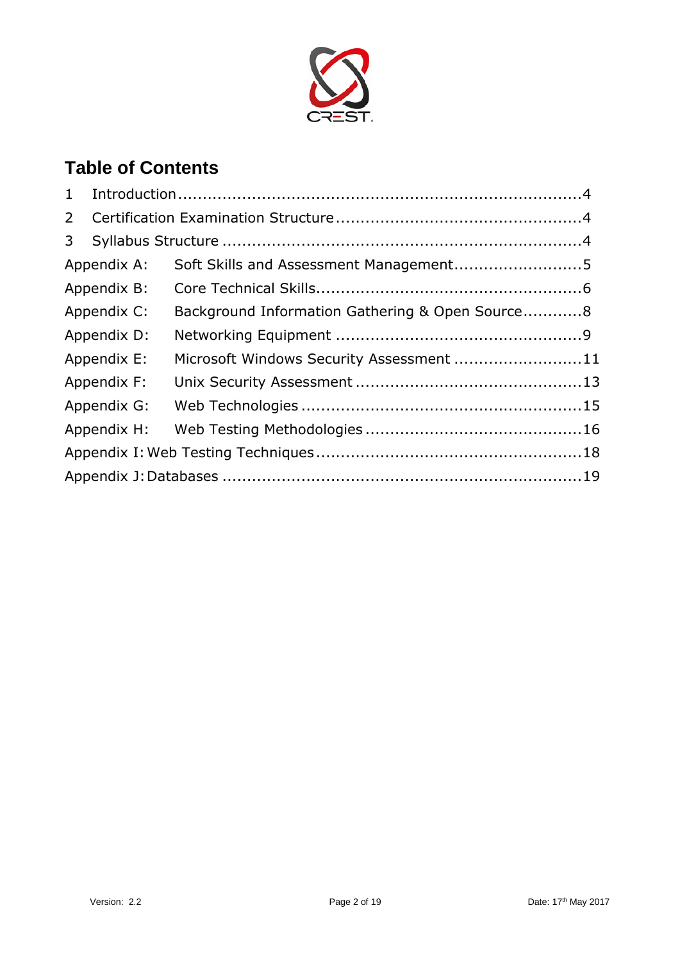

# **Table of Contents**

| $\mathbf{1}$ |             |                                                 |  |  |
|--------------|-------------|-------------------------------------------------|--|--|
| 2            |             |                                                 |  |  |
| 3            |             |                                                 |  |  |
|              | Appendix A: | Soft Skills and Assessment Management5          |  |  |
|              | Appendix B: |                                                 |  |  |
|              | Appendix C: | Background Information Gathering & Open Source8 |  |  |
|              | Appendix D: |                                                 |  |  |
|              | Appendix E: | Microsoft Windows Security Assessment 11        |  |  |
|              | Appendix F: |                                                 |  |  |
|              | Appendix G: |                                                 |  |  |
|              | Appendix H: |                                                 |  |  |
|              |             |                                                 |  |  |
|              |             |                                                 |  |  |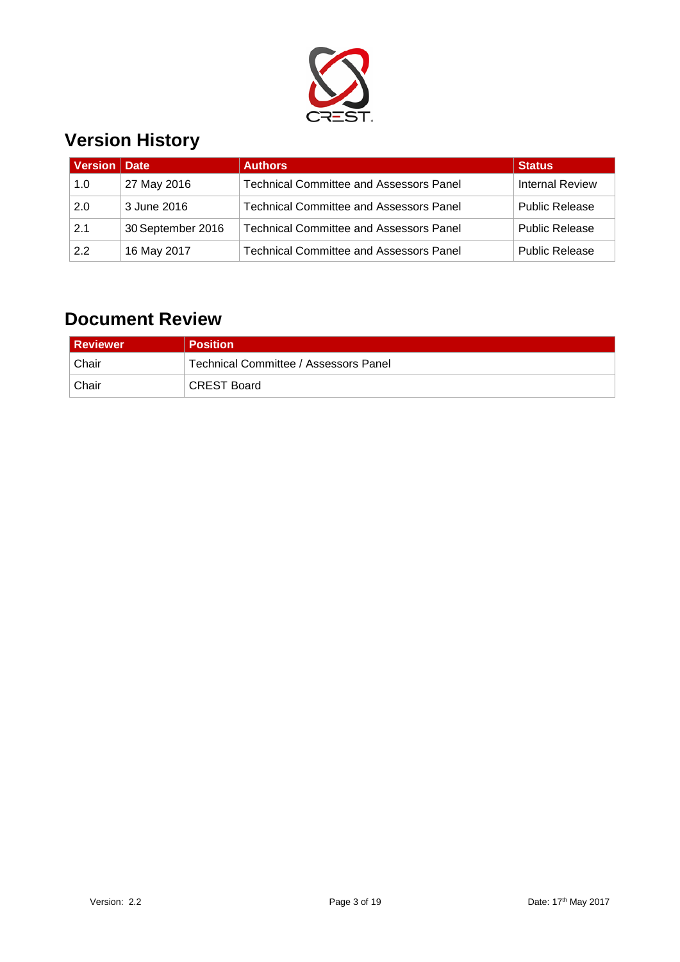

### **Version History**

| Version   Date |                   | <b>Authors</b>                                 | <b>Status</b>         |
|----------------|-------------------|------------------------------------------------|-----------------------|
| 1.0            | 27 May 2016       | <b>Technical Committee and Assessors Panel</b> | Internal Review       |
| 2.0            | 3 June 2016       | <b>Technical Committee and Assessors Panel</b> | <b>Public Release</b> |
| 2.1            | 30 September 2016 | <b>Technical Committee and Assessors Panel</b> | <b>Public Release</b> |
| 2.2            | 16 May 2017       | <b>Technical Committee and Assessors Panel</b> | <b>Public Release</b> |

#### **Document Review**

| <b>Reviewer</b> | <b>Position</b>                       |
|-----------------|---------------------------------------|
| Chair           | Technical Committee / Assessors Panel |
| Chair           | <b>CREST Board</b>                    |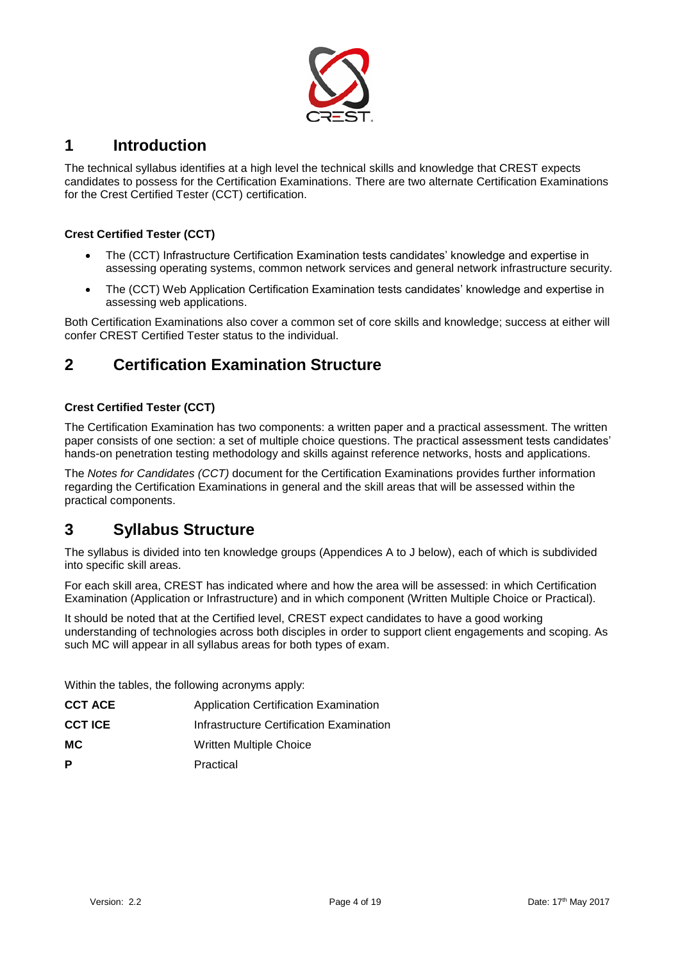

#### <span id="page-3-0"></span>**1 Introduction**

The technical syllabus identifies at a high level the technical skills and knowledge that CREST expects candidates to possess for the Certification Examinations. There are two alternate Certification Examinations for the Crest Certified Tester (CCT) certification.

#### **Crest Certified Tester (CCT)**

- The (CCT) Infrastructure Certification Examination tests candidates' knowledge and expertise in assessing operating systems, common network services and general network infrastructure security.
- The (CCT) Web Application Certification Examination tests candidates' knowledge and expertise in assessing web applications.

Both Certification Examinations also cover a common set of core skills and knowledge; success at either will confer CREST Certified Tester status to the individual.

#### <span id="page-3-1"></span>**2 Certification Examination Structure**

#### **Crest Certified Tester (CCT)**

The Certification Examination has two components: a written paper and a practical assessment. The written paper consists of one section: a set of multiple choice questions. The practical assessment tests candidates' hands-on penetration testing methodology and skills against reference networks, hosts and applications.

The *Notes for Candidates (CCT)* document for the Certification Examinations provides further information regarding the Certification Examinations in general and the skill areas that will be assessed within the practical components.

#### <span id="page-3-2"></span>**3 Syllabus Structure**

The syllabus is divided into ten knowledge groups (Appendices A to J below), each of which is subdivided into specific skill areas.

For each skill area, CREST has indicated where and how the area will be assessed: in which Certification Examination (Application or Infrastructure) and in which component (Written Multiple Choice or Practical).

It should be noted that at the Certified level, CREST expect candidates to have a good working understanding of technologies across both disciples in order to support client engagements and scoping. As such MC will appear in all syllabus areas for both types of exam.

Within the tables, the following acronyms apply:

| <b>CCT ACE</b> | <b>Application Certification Examination</b> |
|----------------|----------------------------------------------|
| <b>CCT ICE</b> | Infrastructure Certification Examination     |
| MC.            | Written Multiple Choice                      |
| P              | Practical                                    |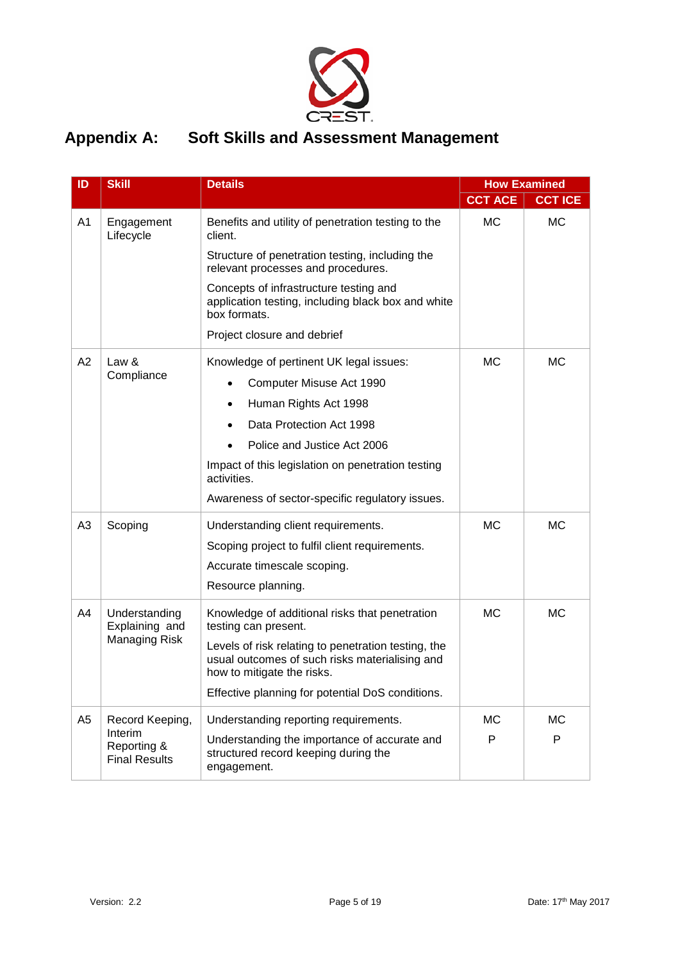

#### <span id="page-4-0"></span>**Appendix A: Soft Skills and Assessment Management**

| ID             | <b>Skill</b>                                            | <b>Details</b>                                                                                                                      | <b>How Examined</b> |                |
|----------------|---------------------------------------------------------|-------------------------------------------------------------------------------------------------------------------------------------|---------------------|----------------|
|                |                                                         |                                                                                                                                     | <b>CCT ACE</b>      | <b>CCT ICE</b> |
| A <sub>1</sub> | Engagement<br>Lifecycle                                 | Benefits and utility of penetration testing to the<br>client.                                                                       | <b>MC</b>           | <b>MC</b>      |
|                |                                                         | Structure of penetration testing, including the<br>relevant processes and procedures.                                               |                     |                |
|                |                                                         | Concepts of infrastructure testing and<br>application testing, including black box and white<br>box formats.                        |                     |                |
|                |                                                         | Project closure and debrief                                                                                                         |                     |                |
| A2             | Law &                                                   | Knowledge of pertinent UK legal issues:                                                                                             | <b>MC</b>           | <b>MC</b>      |
|                | Compliance                                              | Computer Misuse Act 1990                                                                                                            |                     |                |
|                |                                                         | Human Rights Act 1998                                                                                                               |                     |                |
|                |                                                         | Data Protection Act 1998                                                                                                            |                     |                |
|                |                                                         | Police and Justice Act 2006                                                                                                         |                     |                |
|                |                                                         | Impact of this legislation on penetration testing<br>activities.                                                                    |                     |                |
|                |                                                         | Awareness of sector-specific regulatory issues.                                                                                     |                     |                |
| A3             | Scoping                                                 | Understanding client requirements.                                                                                                  | <b>MC</b>           | <b>MC</b>      |
|                |                                                         | Scoping project to fulfil client requirements.                                                                                      |                     |                |
|                |                                                         | Accurate timescale scoping.                                                                                                         |                     |                |
|                |                                                         | Resource planning.                                                                                                                  |                     |                |
| A4             | Understanding<br>Explaining and<br><b>Managing Risk</b> | Knowledge of additional risks that penetration<br>testing can present.                                                              | <b>MC</b>           | <b>MC</b>      |
|                |                                                         | Levels of risk relating to penetration testing, the<br>usual outcomes of such risks materialising and<br>how to mitigate the risks. |                     |                |
|                |                                                         | Effective planning for potential DoS conditions.                                                                                    |                     |                |
| A <sub>5</sub> | Record Keeping,                                         | Understanding reporting requirements.                                                                                               | <b>MC</b>           | <b>MC</b>      |
|                | Interim<br>Reporting &<br><b>Final Results</b>          | Understanding the importance of accurate and<br>structured record keeping during the<br>engagement.                                 | P                   | P              |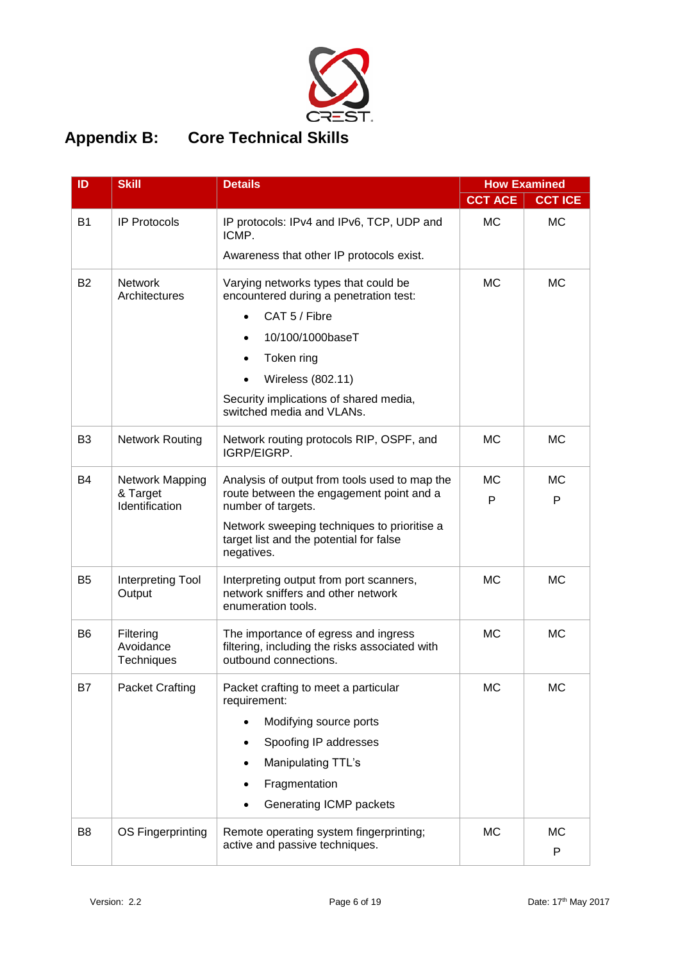

### <span id="page-5-0"></span>**Appendix B: Core Technical Skills**

| ID             | <b>Skill</b>                         | <b>Details</b>                                                                                                  |                | <b>How Examined</b> |
|----------------|--------------------------------------|-----------------------------------------------------------------------------------------------------------------|----------------|---------------------|
|                |                                      |                                                                                                                 | <b>CCT ACE</b> | <b>CCT ICE</b>      |
| <b>B1</b>      | <b>IP Protocols</b>                  | IP protocols: IPv4 and IPv6, TCP, UDP and<br>ICMP.                                                              | <b>MC</b>      | <b>MC</b>           |
|                |                                      | Awareness that other IP protocols exist.                                                                        |                |                     |
| <b>B2</b>      | <b>Network</b><br>Architectures      | Varying networks types that could be<br>encountered during a penetration test:                                  | <b>MC</b>      | <b>MC</b>           |
|                |                                      | CAT 5 / Fibre<br>$\bullet$                                                                                      |                |                     |
|                |                                      | 10/100/1000baseT                                                                                                |                |                     |
|                |                                      | Token ring                                                                                                      |                |                     |
|                |                                      | Wireless (802.11)                                                                                               |                |                     |
|                |                                      | Security implications of shared media,<br>switched media and VLANs.                                             |                |                     |
| B <sub>3</sub> | <b>Network Routing</b>               | Network routing protocols RIP, OSPF, and<br>IGRP/EIGRP.                                                         | <b>MC</b>      | <b>MC</b>           |
| B4             | Network Mapping                      | Analysis of output from tools used to map the                                                                   | <b>MC</b>      | МC                  |
|                | & Target<br>Identification           | route between the engagement point and a<br>number of targets.                                                  | P              | P                   |
|                |                                      | Network sweeping techniques to prioritise a<br>target list and the potential for false<br>negatives.            |                |                     |
| B <sub>5</sub> | Interpreting Tool<br>Output          | Interpreting output from port scanners,<br>network sniffers and other network<br>enumeration tools.             | <b>MC</b>      | МC                  |
| B <sub>6</sub> | Filtering<br>Avoidance<br>Techniques | The importance of egress and ingress<br>filtering, including the risks associated with<br>outbound connections. | <b>MC</b>      | <b>MC</b>           |
| <b>B7</b>      | <b>Packet Crafting</b>               | Packet crafting to meet a particular<br>requirement:                                                            | <b>MC</b>      | <b>MC</b>           |
|                |                                      | Modifying source ports                                                                                          |                |                     |
|                |                                      | Spoofing IP addresses                                                                                           |                |                     |
|                |                                      | Manipulating TTL's                                                                                              |                |                     |
|                |                                      | Fragmentation                                                                                                   |                |                     |
|                |                                      | Generating ICMP packets                                                                                         |                |                     |
| B <sub>8</sub> | OS Fingerprinting                    | Remote operating system fingerprinting;<br>active and passive techniques.                                       | <b>MC</b>      | <b>MC</b><br>P      |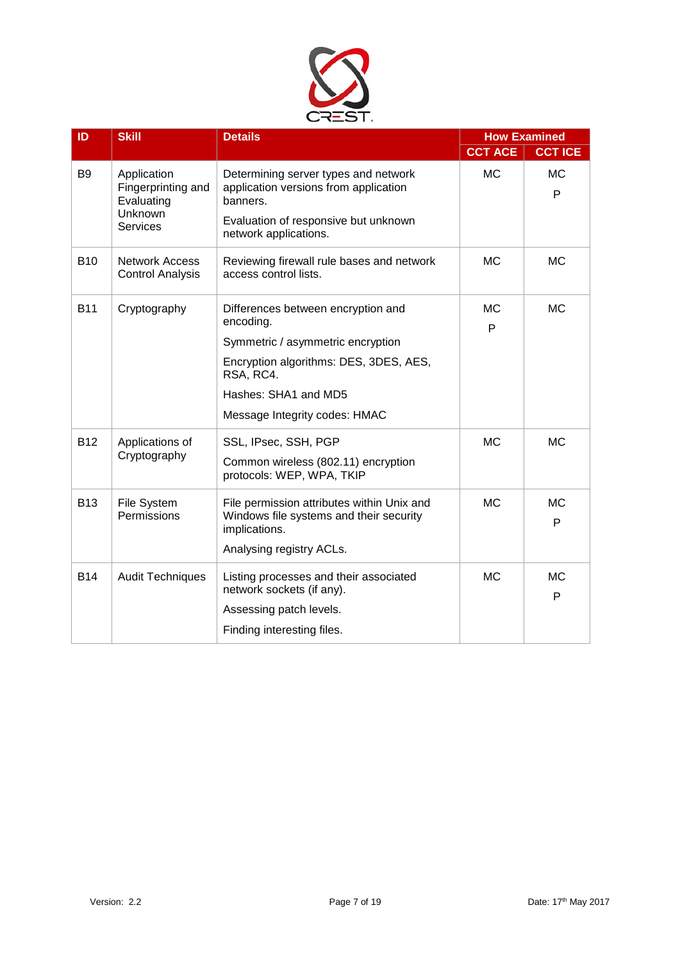

| ID             | <b>Details</b><br><b>Skill</b>                                                |                                                                                                                                                                                                      | <b>How Examined</b> |                |
|----------------|-------------------------------------------------------------------------------|------------------------------------------------------------------------------------------------------------------------------------------------------------------------------------------------------|---------------------|----------------|
|                |                                                                               |                                                                                                                                                                                                      | <b>CCT ACE</b>      | <b>CCT ICE</b> |
| B <sub>9</sub> | Application<br>Fingerprinting and<br>Evaluating<br>Unknown<br><b>Services</b> | Determining server types and network<br>application versions from application<br>banners.<br>Evaluation of responsive but unknown<br>network applications.                                           | <b>MC</b>           | <b>MC</b><br>P |
| <b>B10</b>     | <b>Network Access</b><br><b>Control Analysis</b>                              | Reviewing firewall rule bases and network<br>access control lists.                                                                                                                                   | <b>MC</b>           | <b>MC</b>      |
| <b>B11</b>     | Cryptography                                                                  | Differences between encryption and<br>encoding.<br>Symmetric / asymmetric encryption<br>Encryption algorithms: DES, 3DES, AES,<br>RSA, RC4.<br>Hashes: SHA1 and MD5<br>Message Integrity codes: HMAC | <b>MC</b><br>P      | <b>MC</b>      |
| <b>B12</b>     | Applications of<br>Cryptography                                               | SSL, IPsec, SSH, PGP<br>Common wireless (802.11) encryption<br>protocols: WEP, WPA, TKIP                                                                                                             | <b>MC</b>           | <b>MC</b>      |
| <b>B13</b>     | File System<br>Permissions                                                    | File permission attributes within Unix and<br>Windows file systems and their security<br>implications.<br>Analysing registry ACLs.                                                                   | <b>MC</b>           | <b>MC</b><br>P |
| <b>B14</b>     | <b>Audit Techniques</b>                                                       | Listing processes and their associated<br>network sockets (if any).<br>Assessing patch levels.<br>Finding interesting files.                                                                         | <b>MC</b>           | <b>MC</b><br>P |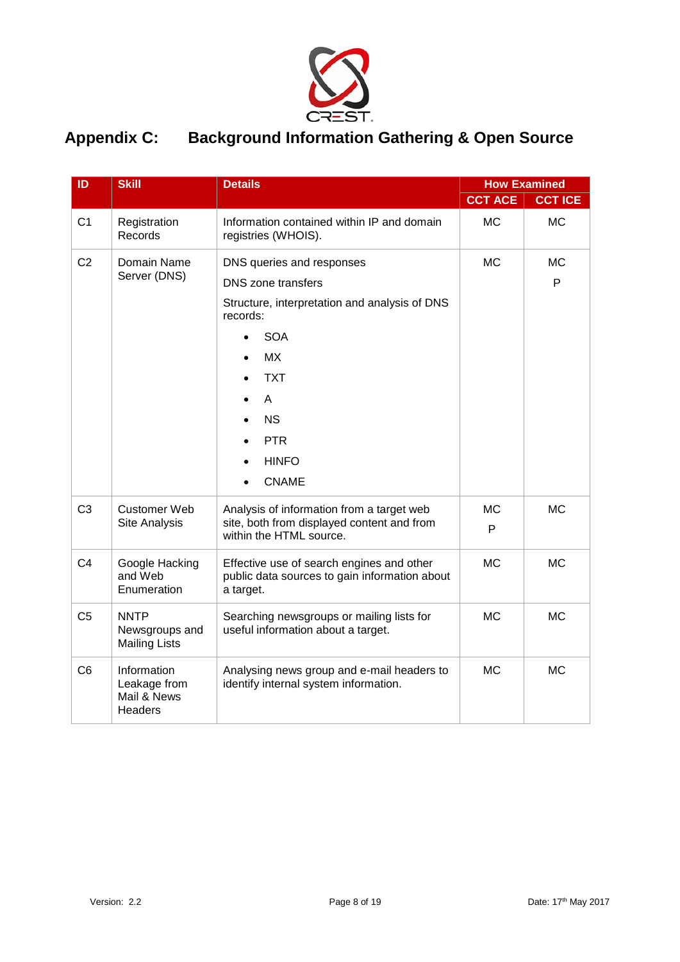

#### <span id="page-7-0"></span>**Appendix C: Background Information Gathering & Open Source**

| ID             | <b>Skill</b><br><b>Details</b>                        |                                                                                                         |                | <b>How Examined</b> |
|----------------|-------------------------------------------------------|---------------------------------------------------------------------------------------------------------|----------------|---------------------|
|                |                                                       |                                                                                                         | <b>CCT ACE</b> | <b>CCT ICE</b>      |
| C <sub>1</sub> | Registration<br>Records                               | Information contained within IP and domain<br>registries (WHOIS).                                       | <b>MC</b>      | <b>MC</b>           |
| C <sub>2</sub> | Domain Name                                           | DNS queries and responses                                                                               | <b>MC</b>      | <b>MC</b>           |
|                | Server (DNS)                                          | <b>DNS</b> zone transfers                                                                               |                | P                   |
|                |                                                       | Structure, interpretation and analysis of DNS<br>records:                                               |                |                     |
|                |                                                       | <b>SOA</b>                                                                                              |                |                     |
|                |                                                       | <b>MX</b>                                                                                               |                |                     |
|                |                                                       | <b>TXT</b>                                                                                              |                |                     |
|                |                                                       | A                                                                                                       |                |                     |
|                |                                                       | <b>NS</b>                                                                                               |                |                     |
|                |                                                       | <b>PTR</b>                                                                                              |                |                     |
|                |                                                       | <b>HINFO</b>                                                                                            |                |                     |
|                |                                                       | <b>CNAME</b>                                                                                            |                |                     |
| C <sub>3</sub> | <b>Customer Web</b>                                   | Analysis of information from a target web                                                               | <b>MC</b>      | <b>MC</b>           |
|                | Site Analysis                                         | site, both from displayed content and from<br>within the HTML source.                                   | P              |                     |
| C <sub>4</sub> | Google Hacking<br>and Web<br>Enumeration              | Effective use of search engines and other<br>public data sources to gain information about<br>a target. | <b>MC</b>      | <b>MC</b>           |
| C <sub>5</sub> | <b>NNTP</b><br>Newsgroups and<br><b>Mailing Lists</b> | Searching newsgroups or mailing lists for<br>useful information about a target.                         | <b>MC</b>      | <b>MC</b>           |
| C <sub>6</sub> | Information<br>Leakage from<br>Mail & News<br>Headers | Analysing news group and e-mail headers to<br>identify internal system information.                     | <b>MC</b>      | <b>MC</b>           |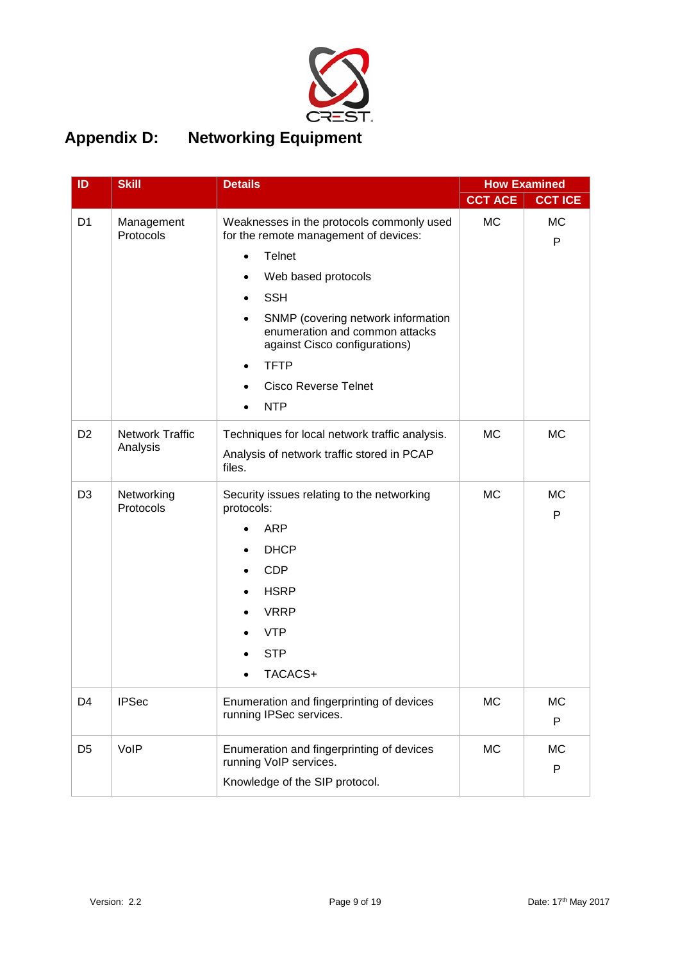

### <span id="page-8-0"></span>**Appendix D: Networking Equipment**

| ID             | <b>Skill</b>            | <b>Details</b>                                                                                        |                | <b>How Examined</b> |
|----------------|-------------------------|-------------------------------------------------------------------------------------------------------|----------------|---------------------|
|                |                         |                                                                                                       | <b>CCT ACE</b> | <b>CCT ICE</b>      |
| D <sub>1</sub> | Management<br>Protocols | Weaknesses in the protocols commonly used<br>for the remote management of devices:                    | <b>MC</b>      | <b>MC</b><br>P      |
|                |                         | <b>Telnet</b>                                                                                         |                |                     |
|                |                         | Web based protocols                                                                                   |                |                     |
|                |                         | <b>SSH</b>                                                                                            |                |                     |
|                |                         | SNMP (covering network information<br>enumeration and common attacks<br>against Cisco configurations) |                |                     |
|                |                         | <b>TFTP</b><br>٠                                                                                      |                |                     |
|                |                         | <b>Cisco Reverse Telnet</b>                                                                           |                |                     |
|                |                         | <b>NTP</b>                                                                                            |                |                     |
| D <sub>2</sub> | <b>Network Traffic</b>  | Techniques for local network traffic analysis.                                                        | <b>MC</b>      | <b>MC</b>           |
|                | Analysis                | Analysis of network traffic stored in PCAP<br>files.                                                  |                |                     |
| D <sub>3</sub> | Networking<br>Protocols | Security issues relating to the networking<br>protocols:                                              | <b>MC</b>      | <b>MC</b><br>P      |
|                |                         | <b>ARP</b>                                                                                            |                |                     |
|                |                         | <b>DHCP</b>                                                                                           |                |                     |
|                |                         | <b>CDP</b>                                                                                            |                |                     |
|                |                         | <b>HSRP</b>                                                                                           |                |                     |
|                |                         | <b>VRRP</b>                                                                                           |                |                     |
|                |                         | <b>VTP</b>                                                                                            |                |                     |
|                |                         | <b>STP</b>                                                                                            |                |                     |
|                |                         | TACACS+                                                                                               |                |                     |
| D4             | <b>IPSec</b>            | Enumeration and fingerprinting of devices<br>running IPSec services.                                  | <b>MC</b>      | <b>MC</b><br>P      |
| D <sub>5</sub> | VoIP                    | Enumeration and fingerprinting of devices<br>running VoIP services.                                   | МC             | МC<br>P             |
|                |                         | Knowledge of the SIP protocol.                                                                        |                |                     |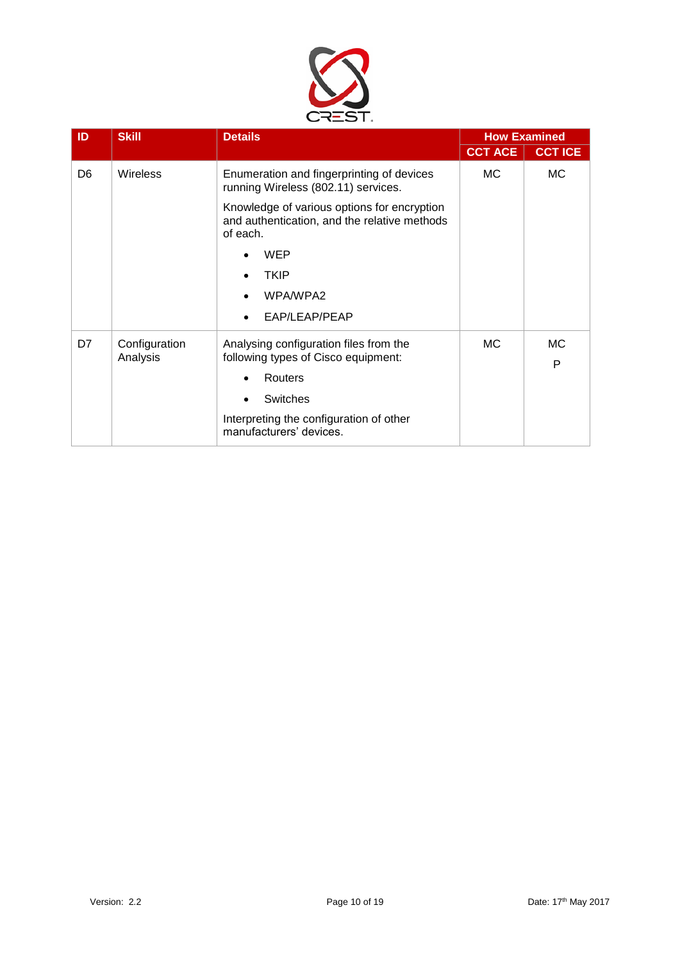

| ID             | <b>Skill</b>    | <b>Details</b>                                                                                          |                | <b>How Examined</b> |
|----------------|-----------------|---------------------------------------------------------------------------------------------------------|----------------|---------------------|
|                |                 |                                                                                                         | <b>CCT ACE</b> | <b>CCT ICE</b>      |
| D <sub>6</sub> | <b>Wireless</b> | Enumeration and fingerprinting of devices<br>running Wireless (802.11) services.                        | MC.            | МC                  |
|                |                 | Knowledge of various options for encryption<br>and authentication, and the relative methods<br>of each. |                |                     |
|                |                 | WEP                                                                                                     |                |                     |
|                |                 | <b>TKIP</b>                                                                                             |                |                     |
|                |                 | WPA/WPA2                                                                                                |                |                     |
|                |                 | EAP/LEAP/PEAP                                                                                           |                |                     |
| D7             | Configuration   | Analysing configuration files from the                                                                  | MC.            | <b>MC</b>           |
|                | Analysis        | following types of Cisco equipment:                                                                     |                | P                   |
|                |                 | Routers                                                                                                 |                |                     |
|                |                 | Switches                                                                                                |                |                     |
|                |                 | Interpreting the configuration of other<br>manufacturers' devices.                                      |                |                     |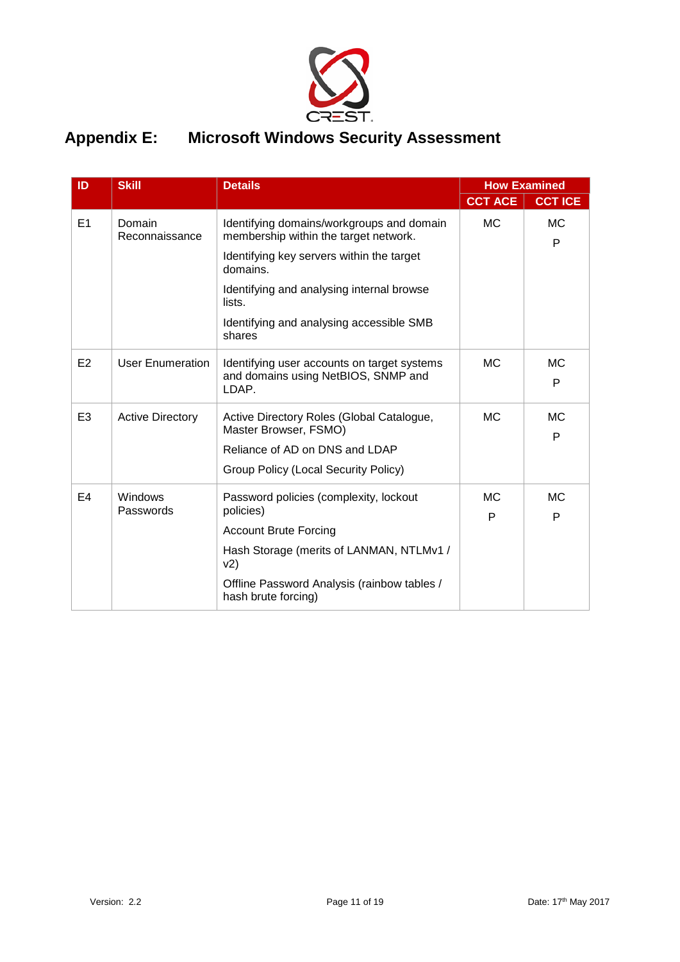

#### <span id="page-10-0"></span>**Appendix E: Microsoft Windows Security Assessment**

| ID             | <b>Skill</b>             | <b>Details</b>                                                                              |                | <b>How Examined</b> |
|----------------|--------------------------|---------------------------------------------------------------------------------------------|----------------|---------------------|
|                |                          |                                                                                             | <b>CCT ACE</b> | <b>CCT ICE</b>      |
| E1             | Domain<br>Reconnaissance | Identifying domains/workgroups and domain<br>membership within the target network.          | <b>MC</b>      | <b>MC</b><br>P      |
|                |                          | Identifying key servers within the target<br>domains.                                       |                |                     |
|                |                          | Identifying and analysing internal browse<br>lists.                                         |                |                     |
|                |                          | Identifying and analysing accessible SMB<br>shares                                          |                |                     |
| E <sub>2</sub> | <b>User Enumeration</b>  | Identifying user accounts on target systems<br>and domains using NetBIOS, SNMP and<br>LDAP. | <b>MC</b>      | <b>MC</b><br>P      |
| E <sub>3</sub> | <b>Active Directory</b>  | Active Directory Roles (Global Catalogue,<br>Master Browser, FSMO)                          | <b>MC</b>      | <b>MC</b><br>P      |
|                |                          | Reliance of AD on DNS and LDAP                                                              |                |                     |
|                |                          | Group Policy (Local Security Policy)                                                        |                |                     |
| E4             | Windows<br>Passwords     | Password policies (complexity, lockout<br>policies)                                         | <b>MC</b><br>P | <b>MC</b><br>P      |
|                |                          | <b>Account Brute Forcing</b>                                                                |                |                     |
|                |                          | Hash Storage (merits of LANMAN, NTLMv1 /<br>v2)                                             |                |                     |
|                |                          | Offline Password Analysis (rainbow tables /<br>hash brute forcing)                          |                |                     |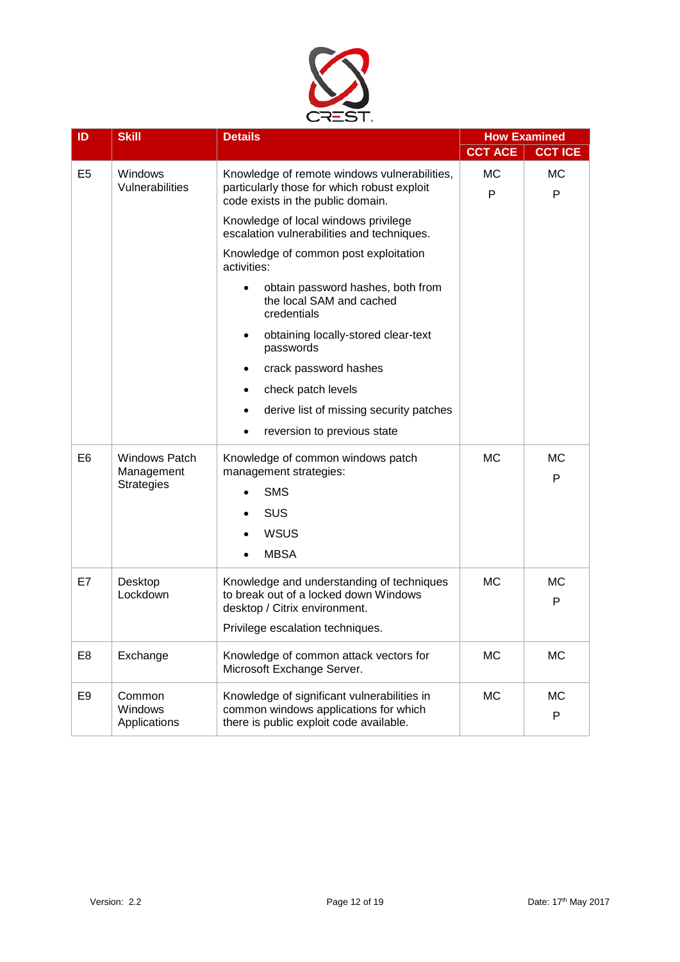

| ID <sub>.</sub> | <b>Skill</b>                       | <b>Details</b>                                                                                                                  |                | <b>How Examined</b> |
|-----------------|------------------------------------|---------------------------------------------------------------------------------------------------------------------------------|----------------|---------------------|
|                 |                                    |                                                                                                                                 | <b>CCT ACE</b> | <b>CCT ICE</b>      |
| E <sub>5</sub>  | Windows<br>Vulnerabilities         | Knowledge of remote windows vulnerabilities,<br>particularly those for which robust exploit                                     | <b>MC</b>      | МC                  |
|                 |                                    | code exists in the public domain.                                                                                               | P              | P                   |
|                 |                                    | Knowledge of local windows privilege<br>escalation vulnerabilities and techniques.                                              |                |                     |
|                 |                                    | Knowledge of common post exploitation<br>activities:                                                                            |                |                     |
|                 |                                    | obtain password hashes, both from<br>the local SAM and cached<br>credentials                                                    |                |                     |
|                 |                                    | obtaining locally-stored clear-text<br>٠<br>passwords                                                                           |                |                     |
|                 |                                    | crack password hashes<br>٠                                                                                                      |                |                     |
|                 |                                    | check patch levels<br>٠                                                                                                         |                |                     |
|                 |                                    | derive list of missing security patches<br>$\bullet$                                                                            |                |                     |
|                 |                                    | reversion to previous state<br>$\bullet$                                                                                        |                |                     |
| E6              | <b>Windows Patch</b><br>Management | Knowledge of common windows patch<br>management strategies:                                                                     | <b>MC</b>      | МC<br>P             |
|                 | <b>Strategies</b>                  | <b>SMS</b>                                                                                                                      |                |                     |
|                 |                                    | SUS                                                                                                                             |                |                     |
|                 |                                    | <b>WSUS</b>                                                                                                                     |                |                     |
|                 |                                    | <b>MBSA</b>                                                                                                                     |                |                     |
| E7              | Desktop                            | Knowledge and understanding of techniques                                                                                       | <b>MC</b>      | МC                  |
|                 | Lockdown                           | to break out of a locked down Windows<br>desktop / Citrix environment.                                                          |                | P                   |
|                 |                                    | Privilege escalation techniques.                                                                                                |                |                     |
| E <sub>8</sub>  | Exchange                           | Knowledge of common attack vectors for<br>Microsoft Exchange Server.                                                            | <b>MC</b>      | <b>MC</b>           |
| E <sub>9</sub>  | Common<br>Windows<br>Applications  | Knowledge of significant vulnerabilities in<br>common windows applications for which<br>there is public exploit code available. | <b>MC</b>      | MC<br>P             |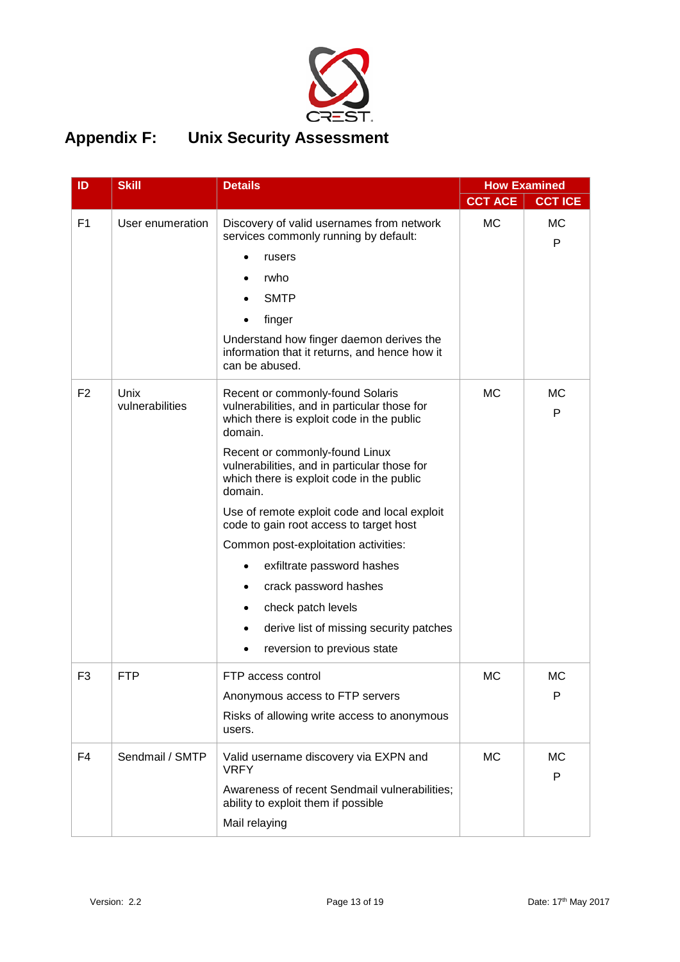

# <span id="page-12-0"></span>**Appendix F: Unix Security Assessment**

| ID             | <b>Skill</b>                   | <b>Details</b>                                                                                                                           |                | <b>How Examined</b> |
|----------------|--------------------------------|------------------------------------------------------------------------------------------------------------------------------------------|----------------|---------------------|
|                |                                |                                                                                                                                          | <b>CCT ACE</b> | <b>CCT ICE</b>      |
| F <sub>1</sub> | User enumeration               | Discovery of valid usernames from network<br>services commonly running by default:                                                       | <b>MC</b>      | <b>MC</b><br>P      |
|                |                                | rusers                                                                                                                                   |                |                     |
|                |                                | rwho                                                                                                                                     |                |                     |
|                |                                | <b>SMTP</b>                                                                                                                              |                |                     |
|                |                                | finger                                                                                                                                   |                |                     |
|                |                                | Understand how finger daemon derives the<br>information that it returns, and hence how it<br>can be abused.                              |                |                     |
| F <sub>2</sub> | <b>Unix</b><br>vulnerabilities | Recent or commonly-found Solaris<br>vulnerabilities, and in particular those for<br>which there is exploit code in the public<br>domain. | <b>MC</b>      | МC<br>P             |
|                |                                | Recent or commonly-found Linux<br>vulnerabilities, and in particular those for<br>which there is exploit code in the public<br>domain.   |                |                     |
|                |                                | Use of remote exploit code and local exploit<br>code to gain root access to target host                                                  |                |                     |
|                |                                | Common post-exploitation activities:                                                                                                     |                |                     |
|                |                                | exfiltrate password hashes                                                                                                               |                |                     |
|                |                                | crack password hashes                                                                                                                    |                |                     |
|                |                                | check patch levels                                                                                                                       |                |                     |
|                |                                | derive list of missing security patches                                                                                                  |                |                     |
|                |                                | reversion to previous state                                                                                                              |                |                     |
| F <sub>3</sub> | <b>FTP</b>                     | FTP access control                                                                                                                       | МC             | МC                  |
|                |                                | Anonymous access to FTP servers                                                                                                          |                | P                   |
|                |                                | Risks of allowing write access to anonymous<br>users.                                                                                    |                |                     |
| F4             | Sendmail / SMTP                | Valid username discovery via EXPN and<br><b>VRFY</b>                                                                                     | <b>MC</b>      | <b>MC</b><br>P      |
|                |                                | Awareness of recent Sendmail vulnerabilities;<br>ability to exploit them if possible                                                     |                |                     |
|                |                                | Mail relaying                                                                                                                            |                |                     |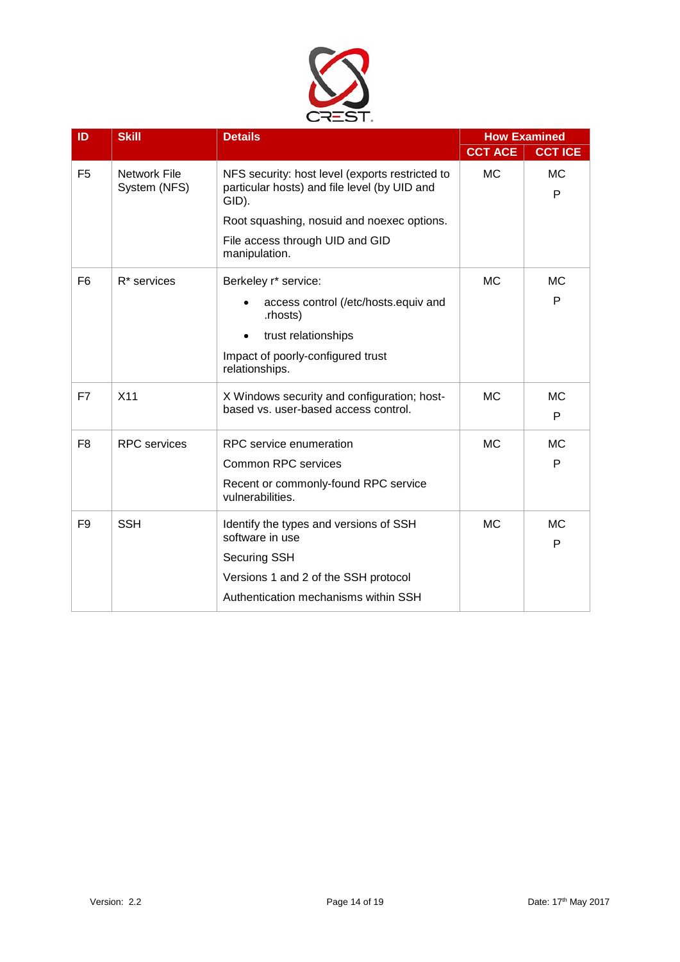

| ID             | <b>Skill</b>                 | <b>Details</b>                                                                                                                                                                                             | <b>How Examined</b> |                |
|----------------|------------------------------|------------------------------------------------------------------------------------------------------------------------------------------------------------------------------------------------------------|---------------------|----------------|
|                |                              |                                                                                                                                                                                                            | <b>CCT ACE</b>      | <b>CCT ICE</b> |
| F <sub>5</sub> | Network File<br>System (NFS) | NFS security: host level (exports restricted to<br>particular hosts) and file level (by UID and<br>GID).<br>Root squashing, nosuid and noexec options.<br>File access through UID and GID<br>manipulation. | МC                  | <b>MC</b><br>P |
| F <sub>6</sub> | R <sup>*</sup> services      | Berkeley r* service:<br>access control (/etc/hosts.equiv and<br>.rhosts)<br>trust relationships<br>$\bullet$<br>Impact of poorly-configured trust<br>relationships.                                        | МC                  | <b>MC</b><br>P |
| F7             | X <sub>11</sub>              | X Windows security and configuration; host-<br>based vs. user-based access control.                                                                                                                        | <b>MC</b>           | <b>MC</b><br>P |
| F <sub>8</sub> | <b>RPC</b> services          | RPC service enumeration<br><b>Common RPC services</b><br>Recent or commonly-found RPC service<br>vulnerabilities.                                                                                          | <b>MC</b>           | <b>MC</b><br>P |
| F <sub>9</sub> | <b>SSH</b>                   | Identify the types and versions of SSH<br>software in use<br><b>Securing SSH</b><br>Versions 1 and 2 of the SSH protocol<br>Authentication mechanisms within SSH                                           | MC.                 | <b>MC</b><br>P |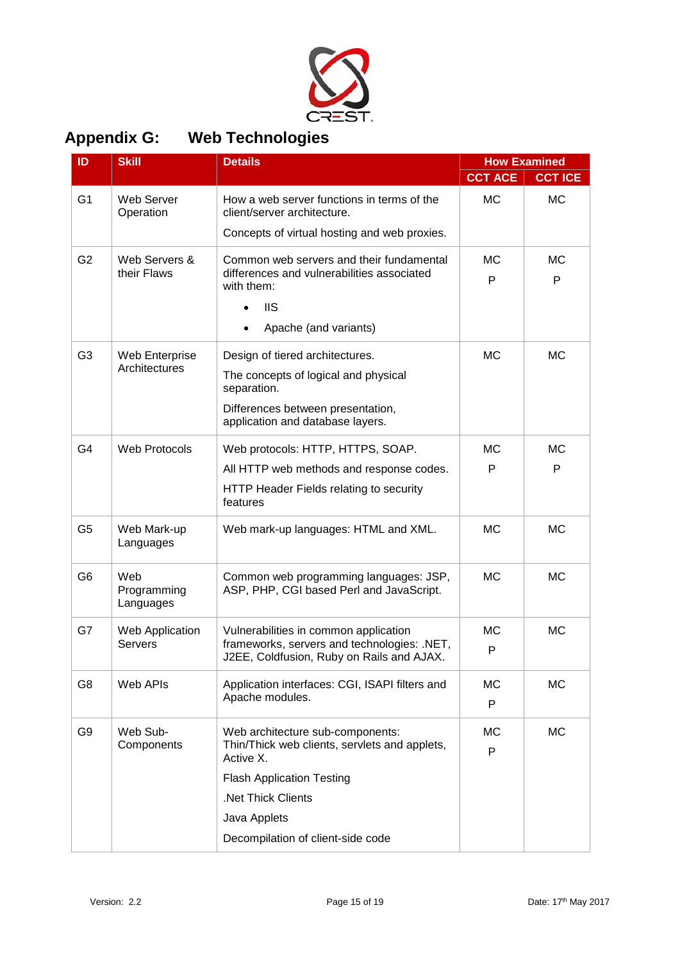

<span id="page-14-0"></span>

| <b>Appendix G:</b> |  | <b>Web Technologies</b> |  |
|--------------------|--|-------------------------|--|
|                    |  |                         |  |

| ID             | <b>Skill</b>                    | <b>Details</b>                                                                           |                | <b>How Examined</b> |
|----------------|---------------------------------|------------------------------------------------------------------------------------------|----------------|---------------------|
|                |                                 |                                                                                          | <b>CCT ACE</b> | <b>CCT ICE</b>      |
| G <sub>1</sub> | Web Server<br>Operation         | How a web server functions in terms of the<br>client/server architecture.                | <b>MC</b>      | <b>MC</b>           |
|                |                                 | Concepts of virtual hosting and web proxies.                                             |                |                     |
| G <sub>2</sub> | Web Servers &<br>their Flaws    | Common web servers and their fundamental<br>differences and vulnerabilities associated   | <b>MC</b><br>P | МC<br>P             |
|                |                                 | with them:                                                                               |                |                     |
|                |                                 | <b>IIS</b>                                                                               |                |                     |
|                |                                 | Apache (and variants)                                                                    |                |                     |
| G <sub>3</sub> | Web Enterprise                  | Design of tiered architectures.                                                          | <b>MC</b>      | <b>MC</b>           |
|                | Architectures                   | The concepts of logical and physical<br>separation.                                      |                |                     |
|                |                                 | Differences between presentation,<br>application and database layers.                    |                |                     |
| G4             | <b>Web Protocols</b>            | Web protocols: HTTP, HTTPS, SOAP.                                                        | <b>MC</b>      | <b>MC</b>           |
|                |                                 | All HTTP web methods and response codes.                                                 | P              | P                   |
|                |                                 | HTTP Header Fields relating to security<br>features                                      |                |                     |
| G <sub>5</sub> | Web Mark-up<br>Languages        | Web mark-up languages: HTML and XML.                                                     | <b>MC</b>      | <b>MC</b>           |
| G <sub>6</sub> | Web<br>Programming<br>Languages | Common web programming languages: JSP,<br>ASP, PHP, CGI based Perl and JavaScript.       | <b>MC</b>      | <b>MC</b>           |
| G7             | Web Application                 | Vulnerabilities in common application                                                    | <b>MC</b>      | <b>MC</b>           |
|                | <b>Servers</b>                  | frameworks, servers and technologies: .NET,<br>J2EE, Coldfusion, Ruby on Rails and AJAX. | P              |                     |
| G <sub>8</sub> | Web APIs                        | Application interfaces: CGI, ISAPI filters and                                           | МC             | <b>MC</b>           |
|                |                                 | Apache modules.                                                                          | P              |                     |
| G <sub>9</sub> | Web Sub-                        | Web architecture sub-components:                                                         | <b>MC</b>      | <b>MC</b>           |
|                | Components                      | Thin/Thick web clients, servlets and applets,<br>Active X.                               | P              |                     |
|                |                                 | <b>Flash Application Testing</b>                                                         |                |                     |
|                |                                 | .Net Thick Clients                                                                       |                |                     |
|                |                                 | Java Applets                                                                             |                |                     |
|                |                                 | Decompilation of client-side code                                                        |                |                     |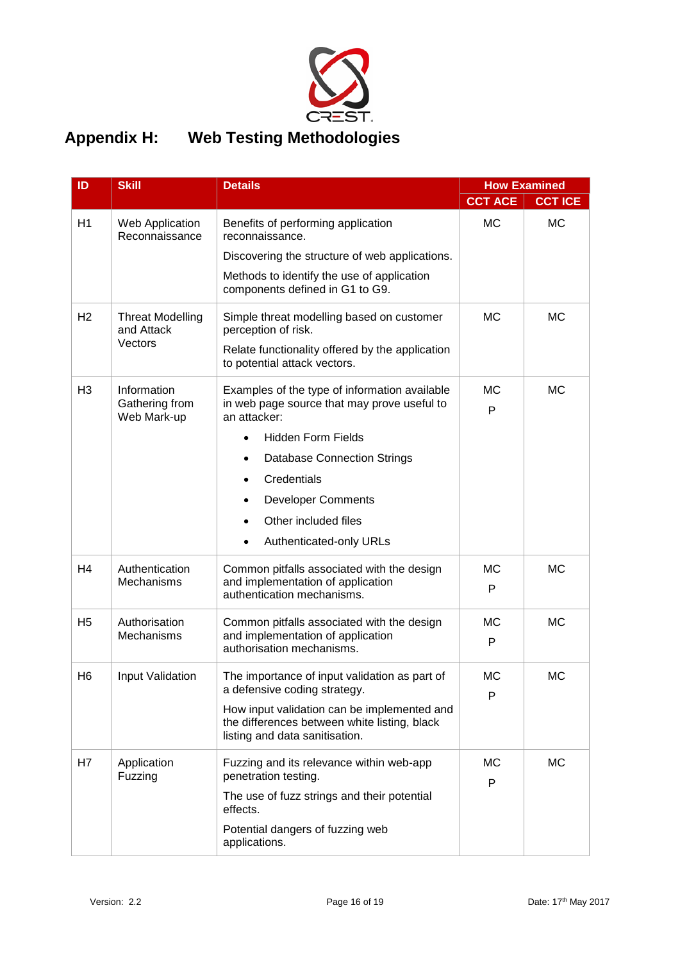

### <span id="page-15-0"></span>**Appendix H: Web Testing Methodologies**

| ID             | <b>Skill</b>                                 | <b>Details</b>                                                                                                                |                | <b>How Examined</b> |
|----------------|----------------------------------------------|-------------------------------------------------------------------------------------------------------------------------------|----------------|---------------------|
|                |                                              |                                                                                                                               | <b>CCT ACE</b> | <b>CCT ICE</b>      |
| H1             | Web Application<br>Reconnaissance            | Benefits of performing application<br>reconnaissance.                                                                         | <b>MC</b>      | <b>MC</b>           |
|                |                                              | Discovering the structure of web applications.                                                                                |                |                     |
|                |                                              | Methods to identify the use of application<br>components defined in G1 to G9.                                                 |                |                     |
| H <sub>2</sub> | <b>Threat Modelling</b><br>and Attack        | Simple threat modelling based on customer<br>perception of risk.                                                              | <b>MC</b>      | <b>MC</b>           |
|                | Vectors                                      | Relate functionality offered by the application<br>to potential attack vectors.                                               |                |                     |
| H <sub>3</sub> | Information<br>Gathering from<br>Web Mark-up | Examples of the type of information available<br>in web page source that may prove useful to<br>an attacker:                  | <b>MC</b><br>P | МC                  |
|                |                                              | <b>Hidden Form Fields</b><br>$\bullet$                                                                                        |                |                     |
|                |                                              | <b>Database Connection Strings</b>                                                                                            |                |                     |
|                |                                              | Credentials                                                                                                                   |                |                     |
|                |                                              | <b>Developer Comments</b>                                                                                                     |                |                     |
|                |                                              | Other included files                                                                                                          |                |                     |
|                |                                              | Authenticated-only URLs                                                                                                       |                |                     |
| H <sub>4</sub> | Authentication                               | Common pitfalls associated with the design                                                                                    | <b>MC</b>      | <b>MC</b>           |
|                | Mechanisms                                   | and implementation of application<br>authentication mechanisms.                                                               | P              |                     |
| H <sub>5</sub> | Authorisation                                | Common pitfalls associated with the design                                                                                    | МC             | МC                  |
|                | <b>Mechanisms</b>                            | and implementation of application<br>authorisation mechanisms.                                                                | P              |                     |
| H <sub>6</sub> | Input Validation                             | The importance of input validation as part of<br>a defensive coding strategy.                                                 | МC<br>P        | МC                  |
|                |                                              | How input validation can be implemented and<br>the differences between white listing, black<br>listing and data sanitisation. |                |                     |
| H7             | Application<br>Fuzzing                       | Fuzzing and its relevance within web-app<br>penetration testing.                                                              | МC<br>P        | <b>MC</b>           |
|                |                                              | The use of fuzz strings and their potential<br>effects.                                                                       |                |                     |
|                |                                              | Potential dangers of fuzzing web<br>applications.                                                                             |                |                     |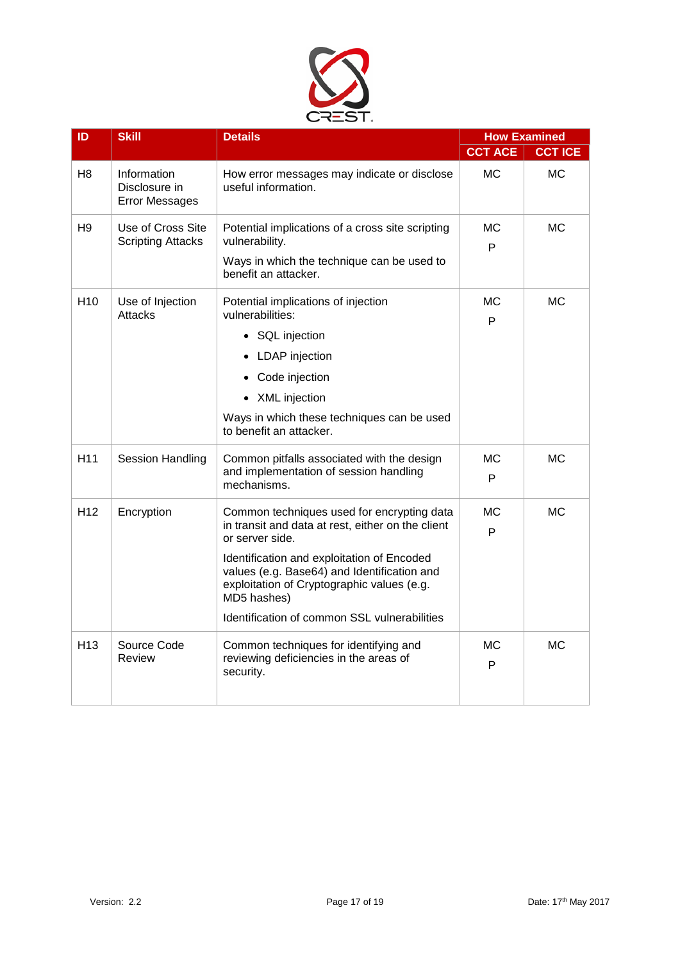

| ID              | <b>Skill</b>                                          | <b>Details</b>                                                                                                                                                                                                                                                                                                               |                | <b>How Examined</b> |
|-----------------|-------------------------------------------------------|------------------------------------------------------------------------------------------------------------------------------------------------------------------------------------------------------------------------------------------------------------------------------------------------------------------------------|----------------|---------------------|
|                 |                                                       |                                                                                                                                                                                                                                                                                                                              | <b>CCT ACE</b> | <b>CCT ICE</b>      |
| H8              | Information<br>Disclosure in<br><b>Error Messages</b> | How error messages may indicate or disclose<br>useful information.                                                                                                                                                                                                                                                           | МC             | МC                  |
| H9              | Use of Cross Site<br><b>Scripting Attacks</b>         | Potential implications of a cross site scripting<br>vulnerability.<br>Ways in which the technique can be used to<br>benefit an attacker.                                                                                                                                                                                     | МC<br>P        | МC                  |
| H <sub>10</sub> | Use of Injection<br><b>Attacks</b>                    | Potential implications of injection<br>vulnerabilities:<br>• SQL injection<br>• LDAP injection<br>Code injection<br>• XML injection<br>Ways in which these techniques can be used<br>to benefit an attacker.                                                                                                                 | МC<br>P        | МC                  |
| H <sub>11</sub> | <b>Session Handling</b>                               | Common pitfalls associated with the design<br>and implementation of session handling<br>mechanisms.                                                                                                                                                                                                                          | МC<br>P        | <b>MC</b>           |
| H <sub>12</sub> | Encryption                                            | Common techniques used for encrypting data<br>in transit and data at rest, either on the client<br>or server side.<br>Identification and exploitation of Encoded<br>values (e.g. Base64) and Identification and<br>exploitation of Cryptographic values (e.g.<br>MD5 hashes)<br>Identification of common SSL vulnerabilities | <b>MC</b><br>P | <b>MC</b>           |
| H <sub>13</sub> | Source Code<br>Review                                 | Common techniques for identifying and<br>reviewing deficiencies in the areas of<br>security.                                                                                                                                                                                                                                 | МC<br>P        | <b>MC</b>           |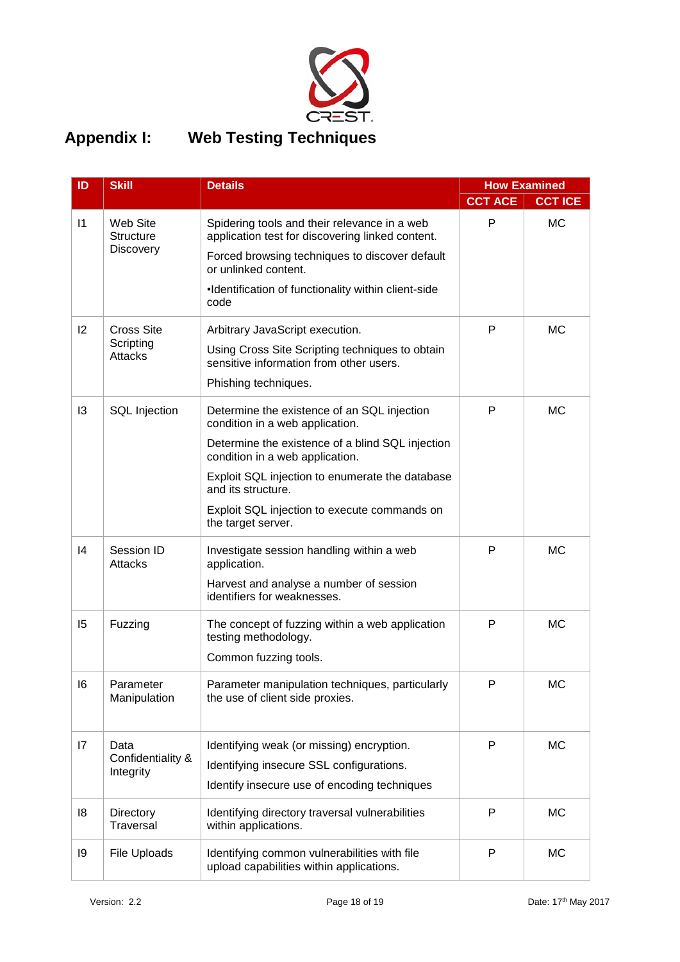

# <span id="page-17-0"></span>**Appendix I: Web Testing Techniques**

| ID            | <b>Skill</b>                              | <b>Details</b>                                                                                                                                                                                                                                                                                                       |                | <b>How Examined</b> |
|---------------|-------------------------------------------|----------------------------------------------------------------------------------------------------------------------------------------------------------------------------------------------------------------------------------------------------------------------------------------------------------------------|----------------|---------------------|
|               |                                           |                                                                                                                                                                                                                                                                                                                      | <b>CCT ACE</b> | <b>CCT ICE</b>      |
| $\vert$ 1     | Web Site<br><b>Structure</b><br>Discovery | Spidering tools and their relevance in a web<br>application test for discovering linked content.<br>Forced browsing techniques to discover default<br>or unlinked content.<br>•Identification of functionality within client-side<br>code                                                                            | P              | <b>MC</b>           |
| 2             | <b>Cross Site</b><br>Scripting<br>Attacks | Arbitrary JavaScript execution.<br>Using Cross Site Scripting techniques to obtain<br>sensitive information from other users.<br>Phishing techniques.                                                                                                                                                                | P              | <b>MC</b>           |
| 13            | <b>SQL</b> Injection                      | Determine the existence of an SQL injection<br>condition in a web application.<br>Determine the existence of a blind SQL injection<br>condition in a web application.<br>Exploit SQL injection to enumerate the database<br>and its structure.<br>Exploit SQL injection to execute commands on<br>the target server. | P              | <b>MC</b>           |
| $\mathsf{I}4$ | Session ID<br>Attacks                     | Investigate session handling within a web<br>application.<br>Harvest and analyse a number of session<br>identifiers for weaknesses.                                                                                                                                                                                  | P              | <b>MC</b>           |
| 15            | Fuzzing                                   | The concept of fuzzing within a web application<br>testing methodology.<br>Common fuzzing tools.                                                                                                                                                                                                                     | P              | <b>MC</b>           |
| 16            | Parameter<br>Manipulation                 | Parameter manipulation techniques, particularly<br>the use of client side proxies.                                                                                                                                                                                                                                   | P              | МC                  |
| 17            | Data<br>Confidentiality &<br>Integrity    | Identifying weak (or missing) encryption.<br>Identifying insecure SSL configurations.<br>Identify insecure use of encoding techniques                                                                                                                                                                                | P              | <b>MC</b>           |
| 18            | Directory<br>Traversal                    | Identifying directory traversal vulnerabilities<br>within applications.                                                                                                                                                                                                                                              | P              | <b>MC</b>           |
| 19            | File Uploads                              | Identifying common vulnerabilities with file<br>upload capabilities within applications.                                                                                                                                                                                                                             | P              | <b>MC</b>           |